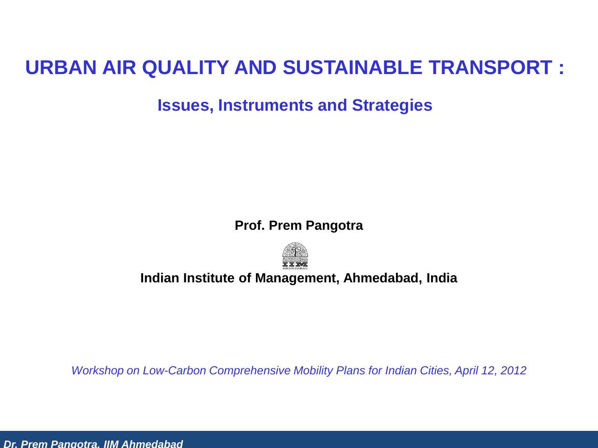#### **URBAN AIR QUALITY AND SUSTAINABLE TRANSPORT :**

**Issues, Instruments and Strategies**

**Prof. Prem Pangotra**



#### **Indian Institute of Management, Ahmedabad, India**

*Workshop on Low-Carbon Comprehensive Mobility Plans for Indian Cities, April 12, 2012*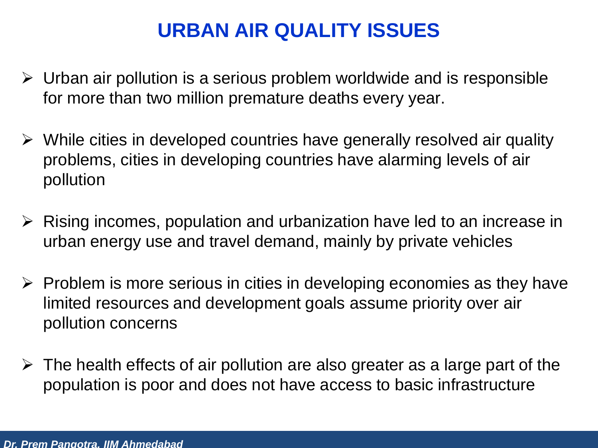#### **URBAN AIR QUALITY ISSUES**

- $\triangleright$  Urban air pollution is a serious problem worldwide and is responsible for more than two million premature deaths every year.
- $\triangleright$  While cities in developed countries have generally resolved air quality problems, cities in developing countries have alarming levels of air pollution
- $\triangleright$  Rising incomes, population and urbanization have led to an increase in urban energy use and travel demand, mainly by private vehicles
- $\triangleright$  Problem is more serious in cities in developing economies as they have limited resources and development goals assume priority over air pollution concerns
- $\triangleright$  The health effects of air pollution are also greater as a large part of the population is poor and does not have access to basic infrastructure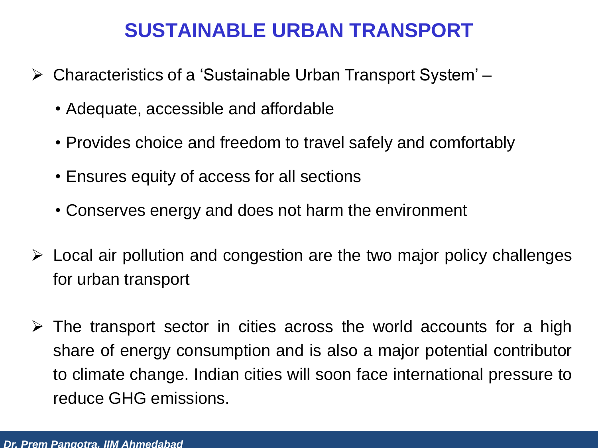#### **SUSTAINABLE URBAN TRANSPORT**

- Characteristics of a 'Sustainable Urban Transport System'
	- Adequate, accessible and affordable
	- Provides choice and freedom to travel safely and comfortably
	- Ensures equity of access for all sections
	- Conserves energy and does not harm the environment
- $\triangleright$  Local air pollution and congestion are the two major policy challenges for urban transport
- $\triangleright$  The transport sector in cities across the world accounts for a high share of energy consumption and is also a major potential contributor to climate change. Indian cities will soon face international pressure to reduce GHG emissions.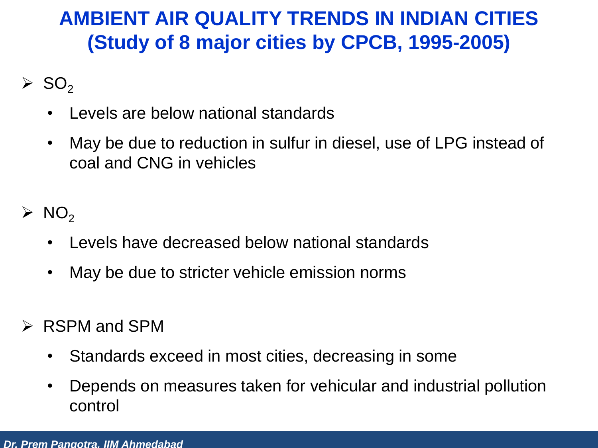#### **AMBIENT AIR QUALITY TRENDS IN INDIAN CITIES (Study of 8 major cities by CPCB, 1995-2005)**

- $\triangleright$  SO<sub>2</sub>
	- Levels are below national standards
	- May be due to reduction in sulfur in diesel, use of LPG instead of coal and CNG in vehicles
- $\triangleright$  NO<sub>2</sub>
	- Levels have decreased below national standards
	- May be due to stricter vehicle emission norms
- $\triangleright$  RSPM and SPM
	- Standards exceed in most cities, decreasing in some
	- Depends on measures taken for vehicular and industrial pollution control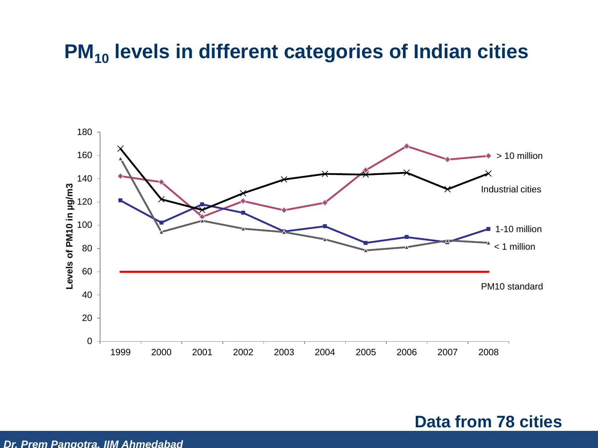#### **PM<sup>10</sup> levels in different categories of Indian cities**



**Data from 78 cities**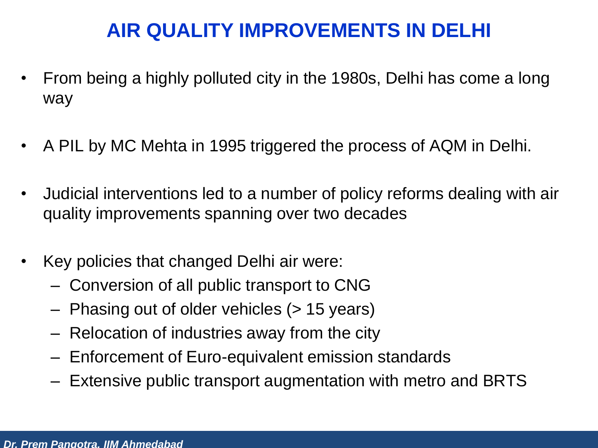# **AIR QUALITY IMPROVEMENTS IN DELHI**

- From being a highly polluted city in the 1980s, Delhi has come a long way
- A PIL by MC Mehta in 1995 triggered the process of AQM in Delhi.
- Judicial interventions led to a number of policy reforms dealing with air quality improvements spanning over two decades
- Key policies that changed Delhi air were:
	- Conversion of all public transport to CNG
	- Phasing out of older vehicles (> 15 years)
	- Relocation of industries away from the city
	- Enforcement of Euro-equivalent emission standards
	- Extensive public transport augmentation with metro and BRTS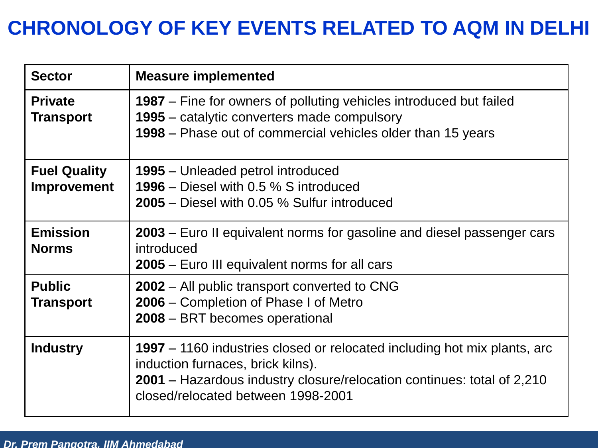# **CHRONOLOGY OF KEY EVENTS RELATED TO AQM IN DELHI**

| <b>Sector</b>                      | <b>Measure implemented</b>                                                                                                                                                                                                    |
|------------------------------------|-------------------------------------------------------------------------------------------------------------------------------------------------------------------------------------------------------------------------------|
| <b>Private</b><br><b>Transport</b> | <b>1987</b> – Fine for owners of polluting vehicles introduced but failed<br>1995 – catalytic converters made compulsory<br>1998 – Phase out of commercial vehicles older than 15 years                                       |
| <b>Fuel Quality</b><br>Improvement | <b>1995</b> – Unleaded petrol introduced<br>1996 – Diesel with 0.5 % S introduced<br>2005 – Diesel with 0.05 % Sulfur introduced                                                                                              |
| <b>Emission</b><br><b>Norms</b>    | 2003 – Euro II equivalent norms for gasoline and diesel passenger cars<br>introduced<br>2005 – Euro III equivalent norms for all cars                                                                                         |
| <b>Public</b><br><b>Transport</b>  | <b>2002</b> – All public transport converted to CNG<br>2006 – Completion of Phase I of Metro<br>2008 – BRT becomes operational                                                                                                |
| <b>Industry</b>                    | 1997 – 1160 industries closed or relocated including hot mix plants, arc<br>induction furnaces, brick kilns).<br>2001 – Hazardous industry closure/relocation continues: total of 2,210<br>closed/relocated between 1998-2001 |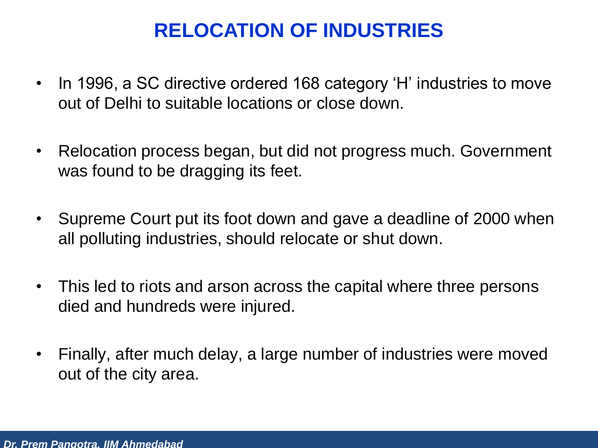# **RELOCATION OF INDUSTRIES**

- In 1996, a SC directive ordered 168 category 'H' industries to move out of Delhi to suitable locations or close down.
- Relocation process began, but did not progress much. Government was found to be dragging its feet.
- Supreme Court put its foot down and gave a deadline of 2000 when all polluting industries, should relocate or shut down.
- This led to riots and arson across the capital where three persons died and hundreds were injured.
- Finally, after much delay, a large number of industries were moved out of the city area.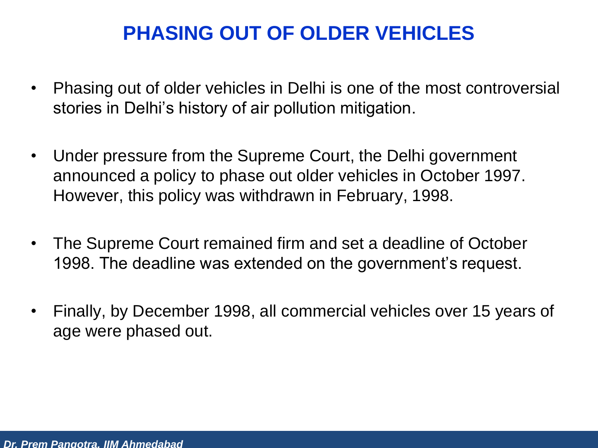#### **PHASING OUT OF OLDER VEHICLES**

- Phasing out of older vehicles in Delhi is one of the most controversial stories in Delhi's history of air pollution mitigation.
- Under pressure from the Supreme Court, the Delhi government announced a policy to phase out older vehicles in October 1997. However, this policy was withdrawn in February, 1998.
- The Supreme Court remained firm and set a deadline of October 1998. The deadline was extended on the government's request.
- Finally, by December 1998, all commercial vehicles over 15 years of age were phased out.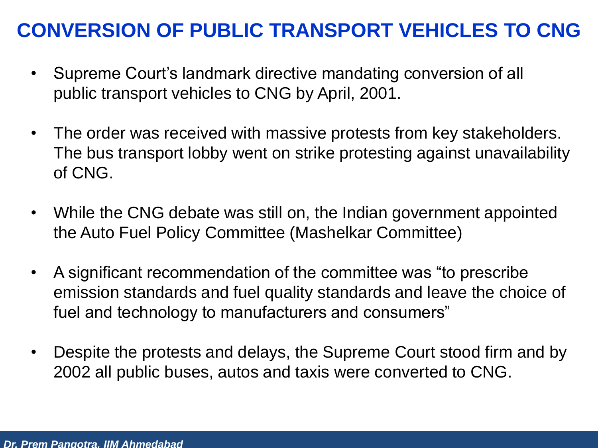#### **CONVERSION OF PUBLIC TRANSPORT VEHICLES TO CNG**

- Supreme Court's landmark directive mandating conversion of all public transport vehicles to CNG by April, 2001.
- The order was received with massive protests from key stakeholders. The bus transport lobby went on strike protesting against unavailability of CNG.
- While the CNG debate was still on, the Indian government appointed the Auto Fuel Policy Committee (Mashelkar Committee)
- A significant recommendation of the committee was "to prescribe emission standards and fuel quality standards and leave the choice of fuel and technology to manufacturers and consumers"
- Despite the protests and delays, the Supreme Court stood firm and by 2002 all public buses, autos and taxis were converted to CNG.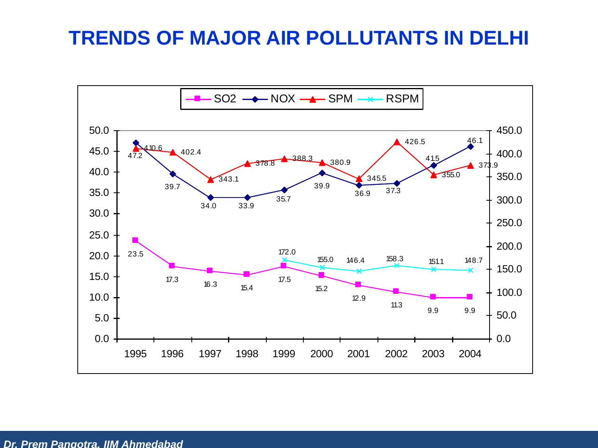#### **TRENDS OF MAJOR AIR POLLUTANTS IN DELHI**

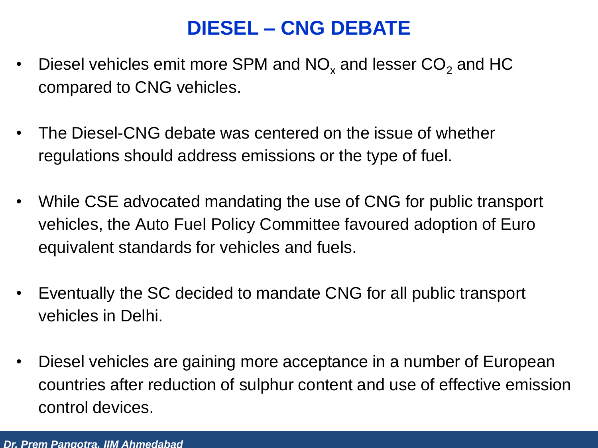#### **DIESEL – CNG DEBATE**

- Diesel vehicles emit more SPM and  $NO<sub>x</sub>$  and lesser  $CO<sub>2</sub>$  and HC compared to CNG vehicles.
- The Diesel-CNG debate was centered on the issue of whether regulations should address emissions or the type of fuel.
- While CSE advocated mandating the use of CNG for public transport vehicles, the Auto Fuel Policy Committee favoured adoption of Euro equivalent standards for vehicles and fuels.
- Eventually the SC decided to mandate CNG for all public transport vehicles in Delhi.
- Diesel vehicles are gaining more acceptance in a number of European countries after reduction of sulphur content and use of effective emission control devices.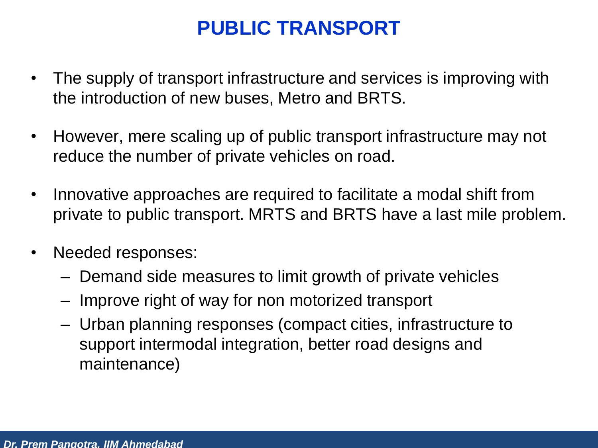#### **PUBLIC TRANSPORT**

- The supply of transport infrastructure and services is improving with the introduction of new buses, Metro and BRTS.
- However, mere scaling up of public transport infrastructure may not reduce the number of private vehicles on road.
- Innovative approaches are required to facilitate a modal shift from private to public transport. MRTS and BRTS have a last mile problem.
- Needed responses:
	- Demand side measures to limit growth of private vehicles
	- Improve right of way for non motorized transport
	- Urban planning responses (compact cities, infrastructure to support intermodal integration, better road designs and maintenance)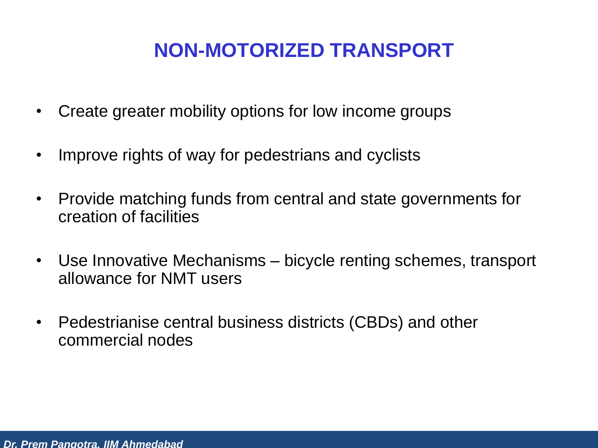## **NON-MOTORIZED TRANSPORT**

- Create greater mobility options for low income groups
- Improve rights of way for pedestrians and cyclists
- Provide matching funds from central and state governments for creation of facilities
- Use Innovative Mechanisms bicycle renting schemes, transport allowance for NMT users
- Pedestrianise central business districts (CBDs) and other commercial nodes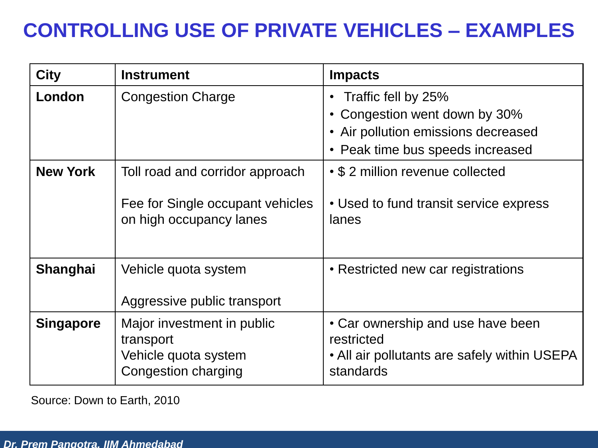# **CONTROLLING USE OF PRIVATE VEHICLES – EXAMPLES**

| <b>City</b>      | <b>Instrument</b>                                                                              | <b>Impacts</b>                                                                                                                  |
|------------------|------------------------------------------------------------------------------------------------|---------------------------------------------------------------------------------------------------------------------------------|
| London           | <b>Congestion Charge</b>                                                                       | Traffic fell by 25%<br>• Congestion went down by 30%<br>• Air pollution emissions decreased<br>• Peak time bus speeds increased |
| <b>New York</b>  | Toll road and corridor approach<br>Fee for Single occupant vehicles<br>on high occupancy lanes | • \$2 million revenue collected<br>• Used to fund transit service express<br>lanes                                              |
| Shanghai         | Vehicle quota system<br>Aggressive public transport                                            | • Restricted new car registrations                                                                                              |
| <b>Singapore</b> | Major investment in public<br>transport<br>Vehicle quota system<br>Congestion charging         | • Car ownership and use have been<br>restricted<br>• All air pollutants are safely within USEPA<br>standards                    |

Source: Down to Earth, 2010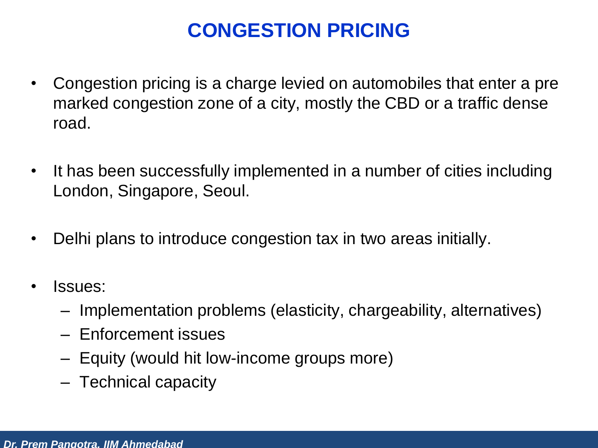# **CONGESTION PRICING**

- Congestion pricing is a charge levied on automobiles that enter a pre marked congestion zone of a city, mostly the CBD or a traffic dense road.
- It has been successfully implemented in a number of cities including London, Singapore, Seoul.
- Delhi plans to introduce congestion tax in two areas initially.
- Issues:
	- Implementation problems (elasticity, chargeability, alternatives)
	- Enforcement issues
	- Equity (would hit low-income groups more)
	- Technical capacity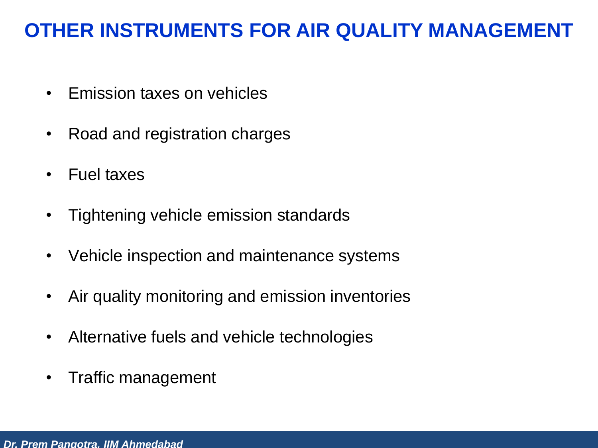#### **OTHER INSTRUMENTS FOR AIR QUALITY MANAGEMENT**

- Emission taxes on vehicles
- Road and registration charges
- Fuel taxes
- Tightening vehicle emission standards
- Vehicle inspection and maintenance systems
- Air quality monitoring and emission inventories
- Alternative fuels and vehicle technologies
- Traffic management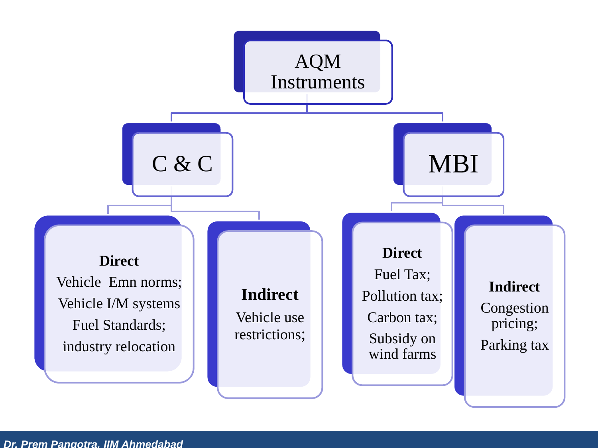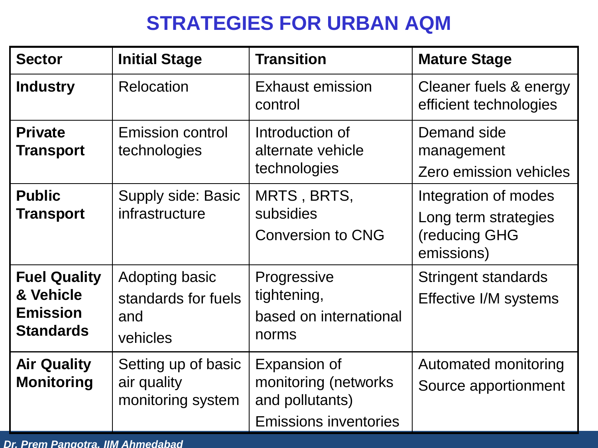#### **STRATEGIES FOR URBAN AQM**

| <b>Sector</b>                                                           | <b>Initial Stage</b>                                     | <b>Transition</b>                                                                        | <b>Mature Stage</b>                                                         |
|-------------------------------------------------------------------------|----------------------------------------------------------|------------------------------------------------------------------------------------------|-----------------------------------------------------------------------------|
| <b>Industry</b>                                                         | <b>Relocation</b>                                        | <b>Exhaust emission</b><br>control                                                       | Cleaner fuels & energy<br>efficient technologies                            |
| <b>Private</b><br><b>Transport</b>                                      | <b>Emission control</b><br>technologies                  | Introduction of<br>alternate vehicle<br>technologies                                     | Demand side<br>management<br>Zero emission vehicles                         |
| <b>Public</b><br><b>Transport</b>                                       | Supply side: Basic<br>infrastructure                     | MRTS, BRTS,<br>subsidies<br><b>Conversion to CNG</b>                                     | Integration of modes<br>Long term strategies<br>(reducing GHG<br>emissions) |
| <b>Fuel Quality</b><br>& Vehicle<br><b>Emission</b><br><b>Standards</b> | Adopting basic<br>standards for fuels<br>and<br>vehicles | Progressive<br>tightening,<br>based on international<br>norms                            | <b>Stringent standards</b><br>Effective I/M systems                         |
| <b>Air Quality</b><br><b>Monitoring</b>                                 | Setting up of basic<br>air quality<br>monitoring system  | Expansion of<br>monitoring (networks)<br>and pollutants)<br><b>Emissions inventories</b> | Automated monitoring<br>Source apportionment                                |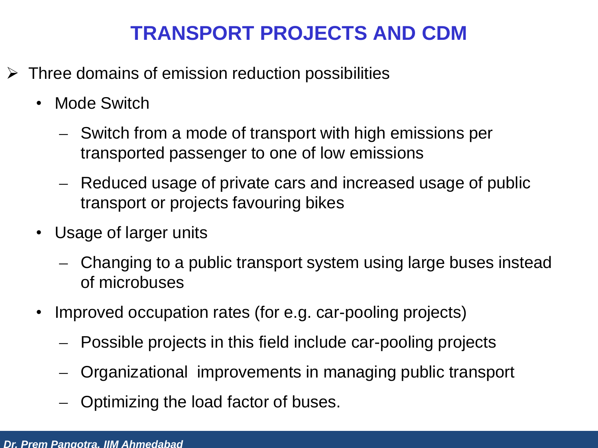#### **TRANSPORT PROJECTS AND CDM**

- $\triangleright$  Three domains of emission reduction possibilities
	- Mode Switch
		- ̶ Switch from a mode of transport with high emissions per transported passenger to one of low emissions
		- ̶ Reduced usage of private cars and increased usage of public transport or projects favouring bikes
	- Usage of larger units
		- ̶ Changing to a public transport system using large buses instead of microbuses
	- Improved occupation rates (for e.g. car-pooling projects)
		- ̶ Possible projects in this field include car-pooling projects
		- ̶ Organizational improvements in managing public transport
		- ̶ Optimizing the load factor of buses.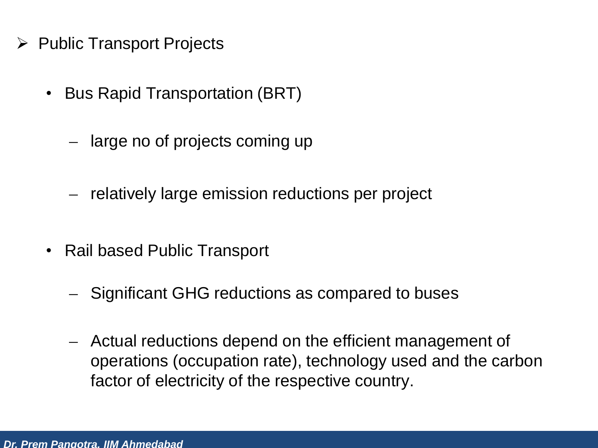- $\triangleright$  Public Transport Projects
	- Bus Rapid Transportation (BRT)
		- ̶ large no of projects coming up
		- ̶ relatively large emission reductions per project
	- Rail based Public Transport
		- ̶ Significant GHG reductions as compared to buses
		- ̶ Actual reductions depend on the efficient management of operations (occupation rate), technology used and the carbon factor of electricity of the respective country.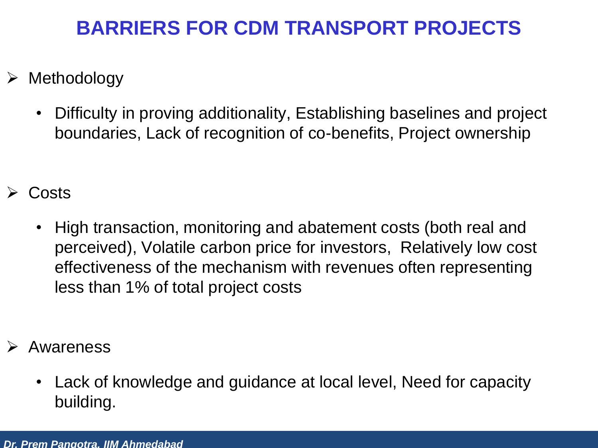#### **BARRIERS FOR CDM TRANSPORT PROJECTS**

- $\triangleright$  Methodology
	- Difficulty in proving additionality, Establishing baselines and project boundaries, Lack of recognition of co-benefits, Project ownership
- Costs
	- High transaction, monitoring and abatement costs (both real and perceived), Volatile carbon price for investors, Relatively low cost effectiveness of the mechanism with revenues often representing less than 1% of total project costs
- Awareness
	- Lack of knowledge and guidance at local level, Need for capacity building.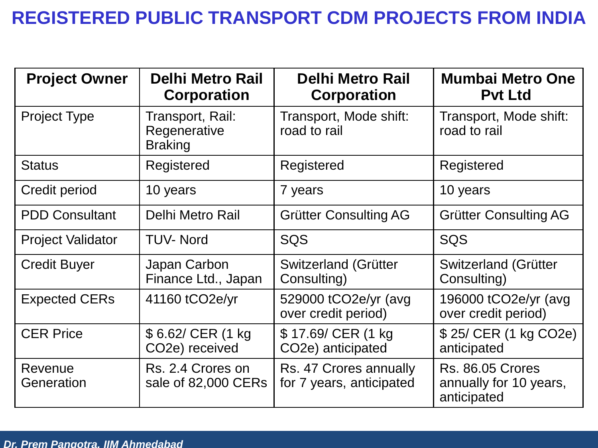#### **REGISTERED PUBLIC TRANSPORT CDM PROJECTS FROM INDIA**

| <b>Project Owner</b>     | <b>Delhi Metro Rail</b><br><b>Corporation</b>      | <b>Delhi Metro Rail</b><br><b>Corporation</b>        | <b>Mumbai Metro One</b><br><b>Pvt Ltd</b>                        |
|--------------------------|----------------------------------------------------|------------------------------------------------------|------------------------------------------------------------------|
| <b>Project Type</b>      | Transport, Rail:<br>Regenerative<br><b>Braking</b> | Transport, Mode shift:<br>road to rail               | Transport, Mode shift:<br>road to rail                           |
| <b>Status</b>            | Registered                                         | Registered                                           | Registered                                                       |
| Credit period            | 10 years                                           | 7 years                                              | 10 years                                                         |
| <b>PDD Consultant</b>    | Delhi Metro Rail                                   | <b>Grütter Consulting AG</b>                         | <b>Grütter Consulting AG</b>                                     |
| <b>Project Validator</b> | <b>TUV-Nord</b>                                    | <b>SQS</b>                                           | SQS                                                              |
| <b>Credit Buyer</b>      | Japan Carbon<br>Finance Ltd., Japan                | Switzerland (Grütter<br>Consulting)                  | Switzerland (Grütter<br>Consulting)                              |
| <b>Expected CERs</b>     | 41160 tCO2e/yr                                     | 529000 tCO2e/yr (avg<br>over credit period)          | 196000 tCO2e/yr (avg<br>over credit period)                      |
| <b>CER Price</b>         | \$6.62/ CER (1 kg<br>CO <sub>2</sub> e) received   | \$17.69/ CER (1 kg<br>CO <sub>2</sub> e) anticipated | \$25/ CER (1 kg CO2e)<br>anticipated                             |
| Revenue<br>Generation    | Rs. 2.4 Crores on<br>sale of 82,000 CERs           | Rs. 47 Crores annually<br>for 7 years, anticipated   | <b>Rs. 86.05 Crores</b><br>annually for 10 years,<br>anticipated |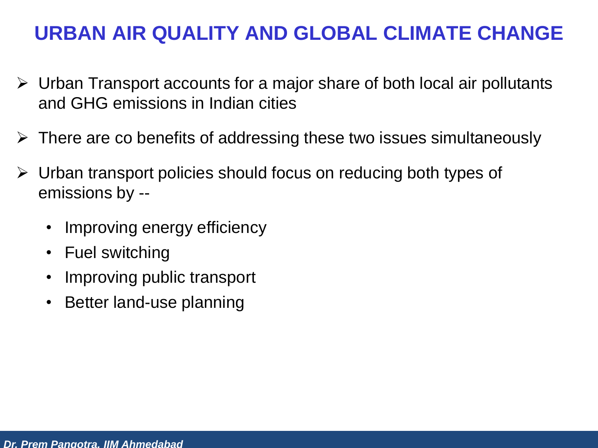#### **URBAN AIR QUALITY AND GLOBAL CLIMATE CHANGE**

- $\triangleright$  Urban Transport accounts for a major share of both local air pollutants and GHG emissions in Indian cities
- $\triangleright$  There are co benefits of addressing these two issues simultaneously
- $\triangleright$  Urban transport policies should focus on reducing both types of emissions by --
	- Improving energy efficiency
	- Fuel switching
	- Improving public transport
	- Better land-use planning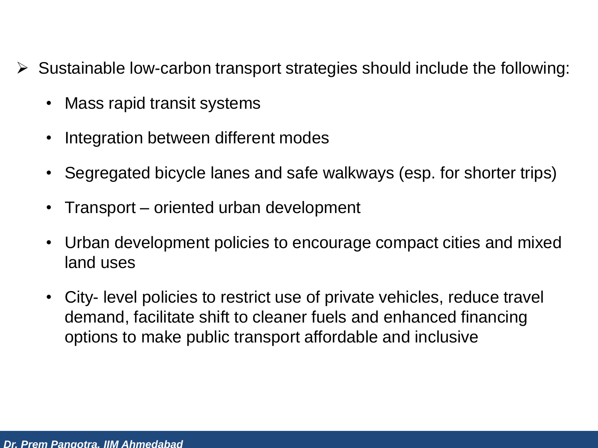- $\triangleright$  Sustainable low-carbon transport strategies should include the following:
	- Mass rapid transit systems
	- Integration between different modes
	- Segregated bicycle lanes and safe walkways (esp. for shorter trips)
	- Transport oriented urban development
	- Urban development policies to encourage compact cities and mixed land uses
	- City- level policies to restrict use of private vehicles, reduce travel demand, facilitate shift to cleaner fuels and enhanced financing options to make public transport affordable and inclusive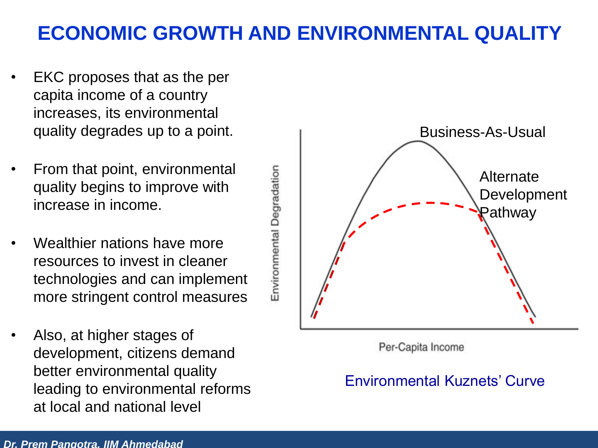#### **ECONOMIC GROWTH AND ENVIRONMENTAL QUALITY**

- EKC proposes that as the per capita income of a country increases, its environmental quality degrades up to a point.
- From that point, environmental quality begins to improve with increase in income.
- Wealthier nations have more resources to invest in cleaner technologies and can implement more stringent control measures
- Also, at higher stages of development, citizens demand better environmental quality leading to environmental reforms at local and national level



#### Environmental Kuznets' Curve